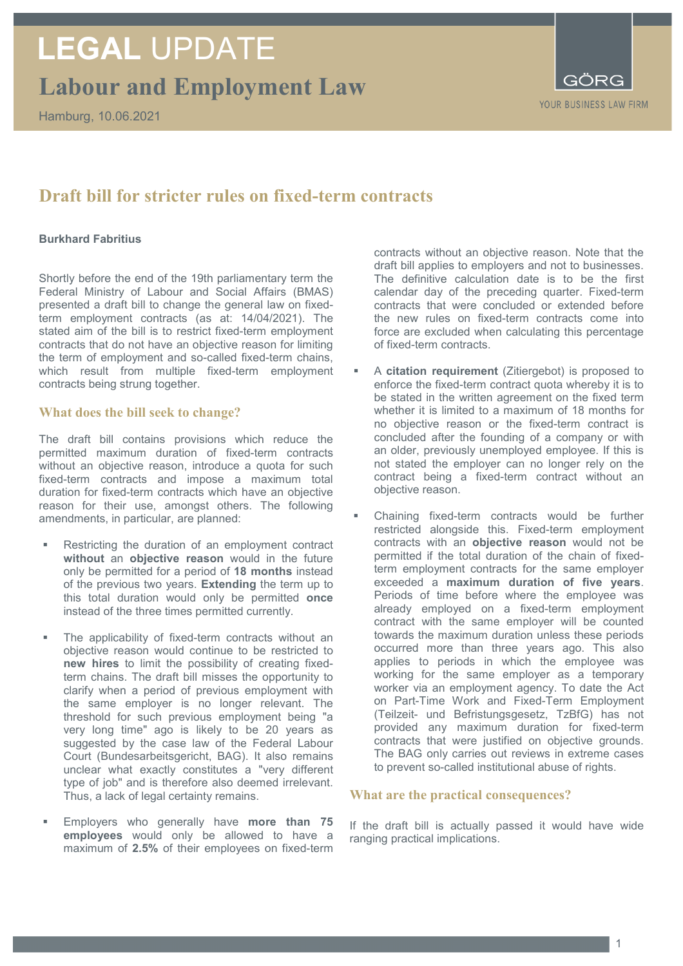

# **Draft bill for stricter rules on fixed-term contracts**

## **Burkhard Fabritius**

Shortly before the end of the 19th parliamentary term the Federal Ministry of Labour and Social Affairs (BMAS) presented a draft bill to change the general law on fixedterm employment contracts (as at: 14/04/2021). The stated aim of the bill is to restrict fixed-term employment contracts that do not have an objective reason for limiting the term of employment and so-called fixed-term chains, which result from multiple fixed-term employment contracts being strung together.

# **What does the bill seek to change?**

The draft bill contains provisions which reduce the permitted maximum duration of fixed-term contracts without an objective reason, introduce a quota for such fixed-term contracts and impose a maximum total duration for fixed-term contracts which have an objective reason for their use, amongst others. The following amendments, in particular, are planned:

- Restricting the duration of an employment contract **without** an **objective reason** would in the future only be permitted for a period of **18 months** instead of the previous two years. **Extending** the term up to this total duration would only be permitted **once** instead of the three times permitted currently.
- The applicability of fixed-term contracts without an objective reason would continue to be restricted to **new hires** to limit the possibility of creating fixedterm chains. The draft bill misses the opportunity to clarify when a period of previous employment with the same employer is no longer relevant. The threshold for such previous employment being "a very long time" ago is likely to be 20 years as suggested by the case law of the Federal Labour Court (Bundesarbeitsgericht, BAG). It also remains unclear what exactly constitutes a "very different type of job" and is therefore also deemed irrelevant. Thus, a lack of legal certainty remains.
- Employers who generally have **more than 75 employees** would only be allowed to have a maximum of **2.5%** of their employees on fixed-term

contracts without an objective reason. Note that the draft bill applies to employers and not to businesses. The definitive calculation date is to be the first calendar day of the preceding quarter. Fixed-term contracts that were concluded or extended before the new rules on fixed-term contracts come into force are excluded when calculating this percentage of fixed-term contracts.

- A **citation requirement** (Zitiergebot) is proposed to enforce the fixed-term contract quota whereby it is to be stated in the written agreement on the fixed term whether it is limited to a maximum of 18 months for no objective reason or the fixed-term contract is concluded after the founding of a company or with an older, previously unemployed employee. If this is not stated the employer can no longer rely on the contract being a fixed-term contract without an objective reason.
- Chaining fixed-term contracts would be further restricted alongside this. Fixed-term employment contracts with an **objective reason** would not be permitted if the total duration of the chain of fixedterm employment contracts for the same employer exceeded a **maximum duration of five years**. Periods of time before where the employee was already employed on a fixed-term employment contract with the same employer will be counted towards the maximum duration unless these periods occurred more than three years ago. This also applies to periods in which the employee was working for the same employer as a temporary worker via an employment agency. To date the Act on Part-Time Work and Fixed-Term Employment (Teilzeit- und Befristungsgesetz, TzBfG) has not provided any maximum duration for fixed-term contracts that were justified on objective grounds. The BAG only carries out reviews in extreme cases to prevent so-called institutional abuse of rights.

# **What are the practical consequences?**

If the draft bill is actually passed it would have wide ranging practical implications.